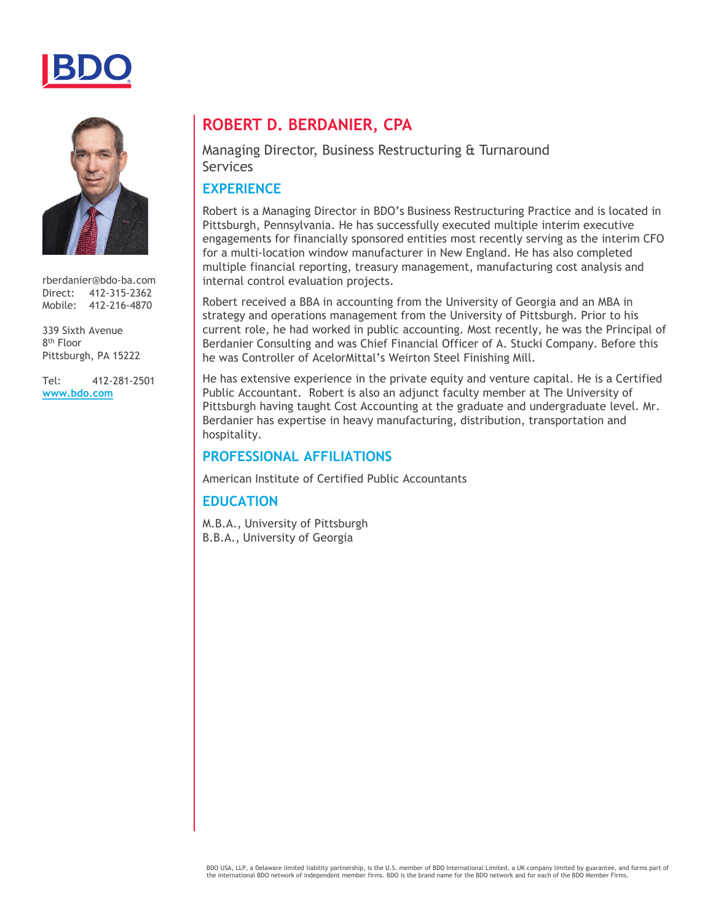



rberdanier@bdo-ba.com Direct: 412-315-2362 Mobile: 412-216-4870

339 Sixth Avenue 8th Floor Pittsburgh, PA 15222

Tel: 412-281-2501 **[www.bdo.com](http://www.bdo.com/)**

### **ROBERT D. BERDANIER, CPA**

#### Managing Director, Business Restructuring & Turnaround Services

#### **EXPERIENCE**

Robert is a Managing Director in BDO's Business Restructuring Practice and is located in Pittsburgh, Pennsylvania. He has successfully executed multiple interim executive engagements for financially sponsored entities most recently serving as the interim CFO for a multi-location window manufacturer in New England. He has also completed multiple financial reporting, treasury management, manufacturing cost analysis and internal control evaluation projects.

Robert received a BBA in accounting from the University of Georgia and an MBA in strategy and operations management from the University of Pittsburgh. Prior to his current role, he had worked in public accounting. Most recently, he was the Principal of Berdanier Consulting and was Chief Financial Officer of A. Stucki Company. Before this he was Controller of AcelorMittal's Weirton Steel Finishing Mill.

He has extensive experience in the private equity and venture capital. He is a Certified Public Accountant. Robert is also an adjunct faculty member at The University of Pittsburgh having taught Cost Accounting at the graduate and undergraduate level. Mr. Berdanier has expertise in heavy manufacturing, distribution, transportation and hospitality.

#### **PROFESSIONAL AFFILIATIONS**

American Institute of Certified Public Accountants

#### **EDUCATION**

M.B.A., University of Pittsburgh B.B.A., University of Georgia